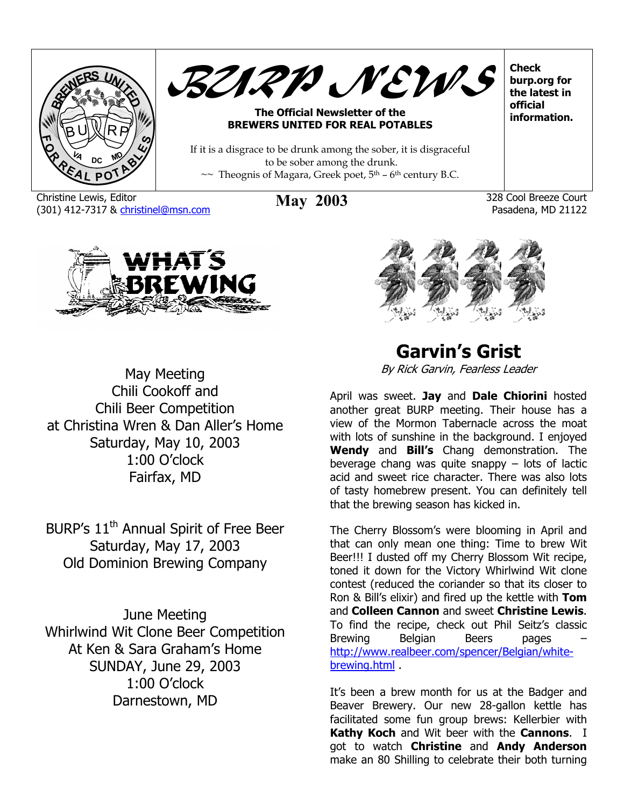



#### **The Official Newsletter of the BREWERS UNITED FOR REAL POTABLES**

If it is a disgrace to be drunk among the sober, it is disgraceful to be sober among the drunk.  $\sim$  Theognis of Magara, Greek poet,  $5<sup>th</sup>$  – 6<sup>th</sup> century B.C.

Christine Lewis, Editor (301) 412-7317 & [christinel@msn.com](mailto:christinel@msn.com) **May 2003** 328 Cool Breeze Court

Pasadena, MD 21122

**Check burp.org for the latest in official information.** 



May Meeting Manuscript Character Character By Rick Garvin, Fearless Leader Chili Beer Competition at Christina Wren & Dan Aller's Home Saturday, May 10, 2003 1:00 O'clock Fairfax, MD

BURP's  $11<sup>th</sup>$  Annual Spirit of Free Beer The Cherry Blossom's were blooming in April and Saturday, May 17, 2003 Old Dominion Brewing Company

June Meeting Whirlwind Wit Clone Beer Competition At Ken & Sara Graham's Home SUNDAY, June 29, 2003 1:00 O'clock It's been a brew month for us at the Badger and Darnestown, MD

**Garvin's Grist** 

Chili Cookoff and **April was sweet. Jay** and **Dale Chiorini** hosted another great BURP meeting. Their house has a view of the Mormon Tabernacle across the moat with lots of sunshine in the background. I enjoyed **Wendy** and **Bill's** Chang demonstration. The beverage chang was quite snappy – lots of lactic acid and sweet rice character. There was also lots of tasty homebrew present. You can definitely tell that the brewing season has kicked in.

> that can only mean one thing: Time to brew Wit Beer!!! I dusted off my Cherry Blossom Wit recipe, toned it down for the Victory Whirlwind Wit clone contest (reduced the coriander so that its closer to Ron & Bill's elixir) and fired up the kettle with **Tom**  and **Colleen Cannon** and sweet **Christine Lewis**. To find the recipe, check out Phil Seitz's classic Brewing Belgian Beers pages – [http://www.realbeer.com/spencer/Belgian/white](http://www.realbeer.com/spencer/Belgian/white-brewing.html)[brewing.html](http://www.realbeer.com/spencer/Belgian/white-brewing.html) .

> Beaver Brewery. Our new 28-gallon kettle has facilitated some fun group brews: Kellerbier with **Kathy Koch** and Wit beer with the **Cannons**. I got to watch **Christine** and **Andy Anderson** make an 80 Shilling to celebrate their both turning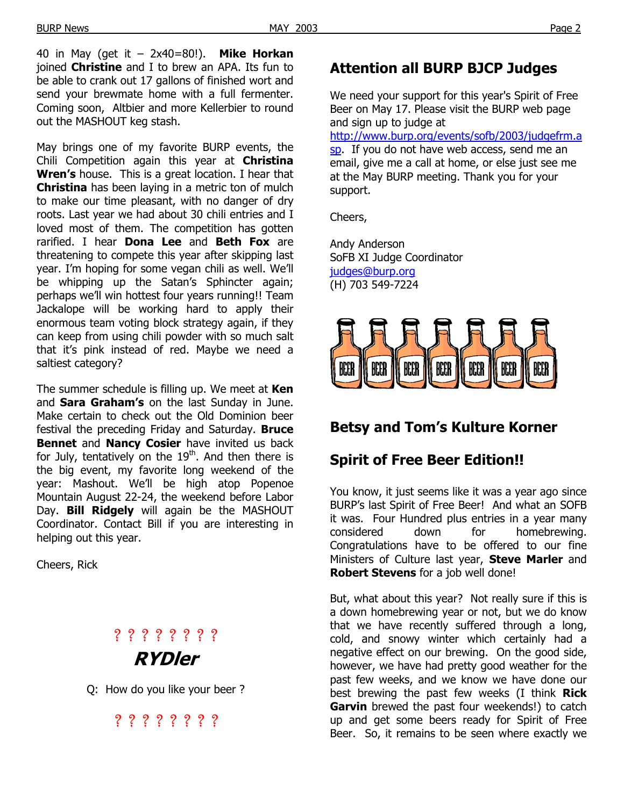40 in May (get it – 2x40=80!). **Mike Horkan** joined **Christine** and I to brew an APA. Its fun to be able to crank out 17 gallons of finished wort and send your brewmate home with a full fermenter. Coming soon, Altbier and more Kellerbier to round out the MASHOUT keg stash.

May brings one of my favorite BURP events, the Chili Competition again this year at **Christina Wren's** house. This is a great location. I hear that **Christina** has been laying in a metric ton of mulch to make our time pleasant, with no danger of dry roots. Last year we had about 30 chili entries and I loved most of them. The competition has gotten rarified. I hear **Dona Lee** and **Beth Fox** are threatening to compete this year after skipping last year. I'm hoping for some vegan chili as well. We'll be whipping up the Satan's Sphincter again; perhaps we'll win hottest four years running!! Team Jackalope will be working hard to apply their enormous team voting block strategy again, if they can keep from using chili powder with so much salt that it's pink instead of red. Maybe we need a saltiest category?

The summer schedule is filling up. We meet at **Ken**  and **Sara Graham's** on the last Sunday in June. Make certain to check out the Old Dominion beer festival the preceding Friday and Saturday. **Bruce Bennet** and **Nancy Cosier** have invited us back for July, tentatively on the  $19<sup>th</sup>$ . And then there is the big event, my favorite long weekend of the year: Mashout. We'll be high atop Popenoe Mountain August 22-24, the weekend before Labor Day. **Bill Ridgely** will again be the MASHOUT Coordinator. Contact Bill if you are interesting in helping out this year.

# ? ? ? ? ? ? ? ? **RYDler**

Q: How do you like your beer ?

? ? ? ? ? ? ? ?

#### **Attention all BURP BJCP Judges**

We need your support for this year's Spirit of Free Beer on May 17. Please visit the BURP web page and sign up to judge at

[http://www.burp.org/events/sofb/2003/judgefrm.a](http://www.burp.org/events/sofb/2003/judgefrm.asp) [sp.](http://www.burp.org/events/sofb/2003/judgefrm.asp) If you do not have web access, send me an email, give me a call at home, or else just see me at the May BURP meeting. Thank you for your support.

Cheers,

Andy Anderson SoFB XI Judge Coordinator [judges@burp.org](mailto:judges@burp.org) (H) 703 549-7224



## **Betsy and Tom's Kulture Korner**

## **Spirit of Free Beer Edition!!**

You know, it just seems like it was a year ago since BURP's last Spirit of Free Beer! And what an SOFB it was. Four Hundred plus entries in a year many considered down for homebrewing. Congratulations have to be offered to our fine Ministers of Culture last year, **Steve Marler** and **Cheers, Rick** Cheers, Rick Cheers, Rick Cheers, Rick Cheers, Rick Cheers, Rick Cheers, 2018, 2018, 2018, 2018, 2018

> But, what about this year? Not really sure if this is a down homebrewing year or not, but we do know that we have recently suffered through a long, cold, and snowy winter which certainly had a negative effect on our brewing. On the good side, however, we have had pretty good weather for the past few weeks, and we know we have done our best brewing the past few weeks (I think **Rick Garvin** brewed the past four weekends!) to catch up and get some beers ready for Spirit of Free Beer. So, it remains to be seen where exactly we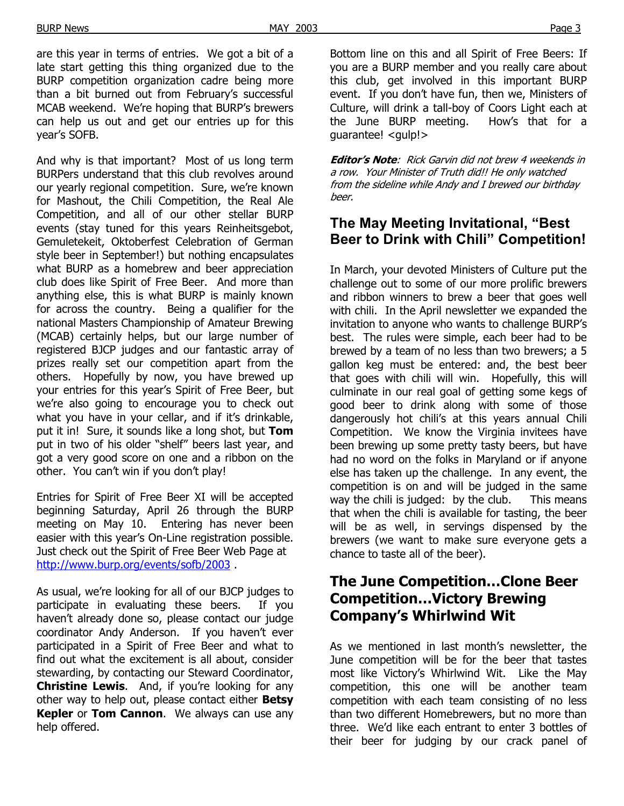And why is that important? Most of us long term BURPers understand that this club revolves around our yearly regional competition. Sure, we're known for Mashout, the Chili Competition, the Real Ale Competition, and all of our other stellar BURP events (stay tuned for this years Reinheitsgebot, Gemuletekeit, Oktoberfest Celebration of German style beer in September!) but nothing encapsulates what BURP as a homebrew and beer appreciation club does like Spirit of Free Beer. And more than anything else, this is what BURP is mainly known for across the country. Being a qualifier for the national Masters Championship of Amateur Brewing (MCAB) certainly helps, but our large number of registered BJCP judges and our fantastic array of prizes really set our competition apart from the others. Hopefully by now, you have brewed up your entries for this year's Spirit of Free Beer, but we're also going to encourage you to check out what you have in your cellar, and if it's drinkable, put it in! Sure, it sounds like a long shot, but **Tom** put in two of his older "shelf" beers last year, and got a very good score on one and a ribbon on the other. You can't win if you don't play!

Entries for Spirit of Free Beer XI will be accepted beginning Saturday, April 26 through the BURP meeting on May 10. Entering has never been easier with this year's On-Line registration possible. Just check out the Spirit of Free Beer Web Page at <http://www.burp.org/events/sofb/2003> .

As usual, we're looking for all of our BJCP judges to participate in evaluating these beers. If you haven't already done so, please contact our judge coordinator Andy Anderson. If you haven't ever participated in a Spirit of Free Beer and what to find out what the excitement is all about, consider stewarding, by contacting our Steward Coordinator, **Christine Lewis**. And, if you're looking for any other way to help out, please contact either **Betsy Kepler** or **Tom Cannon**. We always can use any help offered.

Bottom line on this and all Spirit of Free Beers: If you are a BURP member and you really care about this club, get involved in this important BURP event. If you don't have fun, then we, Ministers of Culture, will drink a tall-boy of Coors Light each at the June BURP meeting. How's that for a guarantee! <gulp!>

**Editor's Note**: Rick Garvin did not brew 4 weekends in a row. Your Minister of Truth did!! He only watched from the sideline while Andy and I brewed our birthday beer.

#### **The May Meeting Invitational, "Best Beer to Drink with Chili" Competition!**

In March, your devoted Ministers of Culture put the challenge out to some of our more prolific brewers and ribbon winners to brew a beer that goes well with chili. In the April newsletter we expanded the invitation to anyone who wants to challenge BURP's best. The rules were simple, each beer had to be brewed by a team of no less than two brewers; a 5 gallon keg must be entered: and, the best beer that goes with chili will win. Hopefully, this will culminate in our real goal of getting some kegs of good beer to drink along with some of those dangerously hot chili's at this years annual Chili Competition. We know the Virginia invitees have been brewing up some pretty tasty beers, but have had no word on the folks in Maryland or if anyone else has taken up the challenge. In any event, the competition is on and will be judged in the same way the chili is judged: by the club. This means that when the chili is available for tasting, the beer will be as well, in servings dispensed by the brewers (we want to make sure everyone gets a chance to taste all of the beer).

## **The June Competition…Clone Beer Competition…Victory Brewing Company's Whirlwind Wit**

As we mentioned in last month's newsletter, the June competition will be for the beer that tastes most like Victory's Whirlwind Wit. Like the May competition, this one will be another team competition with each team consisting of no less than two different Homebrewers, but no more than three. We'd like each entrant to enter 3 bottles of their beer for judging by our crack panel of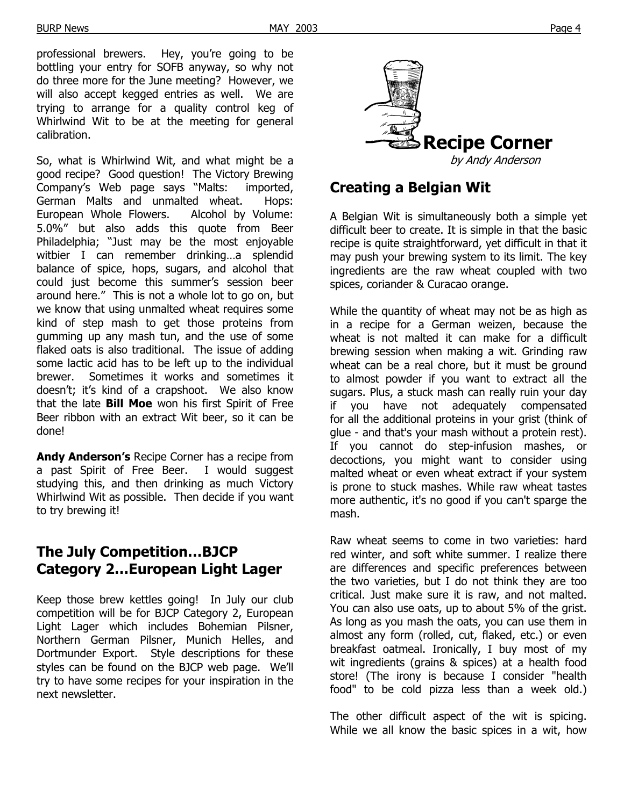professional brewers. Hey, you're going to be bottling your entry for SOFB anyway, so why not do three more for the June meeting? However, we will also accept kegged entries as well. We are trying to arrange for a quality control keg of Whirlwind Wit to be at the meeting for general

So, what is Whirlwind Wit, and what might be a by Andy Anderson good recipe? Good question! The Victory Brewing Company's Web page says "Malts: imported, German Malts and unmalted wheat. Hops: European Whole Flowers. Alcohol by Volume: 5.0%" but also adds this quote from Beer Philadelphia; "Just may be the most enjoyable witbier I can remember drinking…a splendid balance of spice, hops, sugars, and alcohol that could just become this summer's session beer around here." This is not a whole lot to go on, but we know that using unmalted wheat requires some kind of step mash to get those proteins from gumming up any mash tun, and the use of some flaked oats is also traditional. The issue of adding some lactic acid has to be left up to the individual brewer. Sometimes it works and sometimes it doesn't; it's kind of a crapshoot. We also know that the late **Bill Moe** won his first Spirit of Free Beer ribbon with an extract Wit beer, so it can be done!

**Andy Anderson's** Recipe Corner has a recipe from a past Spirit of Free Beer. I would suggest studying this, and then drinking as much Victory Whirlwind Wit as possible. Then decide if you want to try brewing it!

#### **The July Competition…BJCP Category 2…European Light Lager**

Keep those brew kettles going! In July our club competition will be for BJCP Category 2, European Light Lager which includes Bohemian Pilsner, Northern German Pilsner, Munich Helles, and Dortmunder Export. Style descriptions for these styles can be found on the BJCP web page. We'll try to have some recipes for your inspiration in the next newsletter.



#### **Creating a Belgian Wit**

A Belgian Wit is simultaneously both a simple yet difficult beer to create. It is simple in that the basic recipe is quite straightforward, yet difficult in that it may push your brewing system to its limit. The key ingredients are the raw wheat coupled with two spices, coriander & Curacao orange.

While the quantity of wheat may not be as high as in a recipe for a German weizen, because the wheat is not malted it can make for a difficult brewing session when making a wit. Grinding raw wheat can be a real chore, but it must be ground to almost powder if you want to extract all the sugars. Plus, a stuck mash can really ruin your day you have not adequately compensated for all the additional proteins in your grist (think of glue - and that's your mash without a protein rest). If you cannot do step-infusion mashes, or decoctions, you might want to consider using malted wheat or even wheat extract if your system is prone to stuck mashes. While raw wheat tastes more authentic, it's no good if you can't sparge the mash.

Raw wheat seems to come in two varieties: hard red winter, and soft white summer. I realize there are differences and specific preferences between the two varieties, but I do not think they are too critical. Just make sure it is raw, and not malted. You can also use oats, up to about 5% of the grist. As long as you mash the oats, you can use them in almost any form (rolled, cut, flaked, etc.) or even breakfast oatmeal. Ironically, I buy most of my wit ingredients (grains & spices) at a health food store! (The irony is because I consider "health food" to be cold pizza less than a week old.)

The other difficult aspect of the wit is spicing. While we all know the basic spices in a wit, how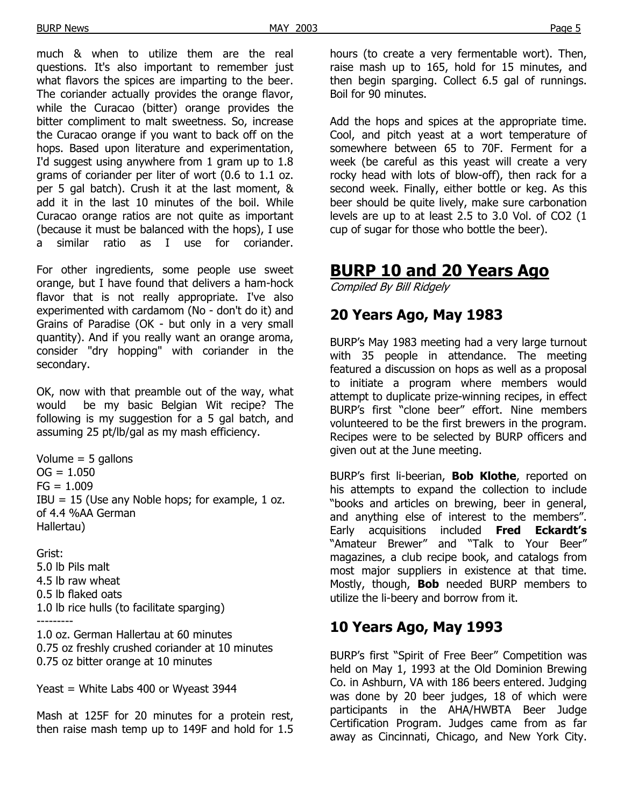much & when to utilize them are the real questions. It's also important to remember just what flavors the spices are imparting to the beer. The coriander actually provides the orange flavor, while the Curacao (bitter) orange provides the bitter compliment to malt sweetness. So, increase the Curacao orange if you want to back off on the hops. Based upon literature and experimentation, I'd suggest using anywhere from 1 gram up to 1.8 grams of coriander per liter of wort (0.6 to 1.1 oz. per 5 gal batch). Crush it at the last moment, & add it in the last 10 minutes of the boil. While Curacao orange ratios are not quite as important (because it must be balanced with the hops), I use a similar ratio as I use for coriander.

For other ingredients, some people use sweet orange, but I have found that delivers a ham-hock flavor that is not really appropriate. I've also experimented with cardamom (No - don't do it) and Grains of Paradise (OK - but only in a very small quantity). And if you really want an orange aroma, consider "dry hopping" with coriander in the secondary.

OK, now with that preamble out of the way, what would be my basic Belgian Wit recipe? The following is my suggestion for a 5 gal batch, and assuming 25 pt/lb/gal as my mash efficiency.

Volume  $=$  5 gallons  $OG = 1.050$  $FG = 1.009$  $IBU = 15$  (Use any Noble hops; for example, 1 oz. of 4.4 %AA German Hallertau)

Grist: 5.0 lb Pils malt 4.5 lb raw wheat 0.5 lb flaked oats 1.0 lb rice hulls (to facilitate sparging) ---------

1.0 oz. German Hallertau at 60 minutes 0.75 oz freshly crushed coriander at 10 minutes 0.75 oz bitter orange at 10 minutes

Yeast = White Labs 400 or Wyeast 3944

Mash at 125F for 20 minutes for a protein rest, then raise mash temp up to 149F and hold for 1.5 hours (to create a very fermentable wort). Then, raise mash up to 165, hold for 15 minutes, and then begin sparging. Collect 6.5 gal of runnings. Boil for 90 minutes.

Add the hops and spices at the appropriate time. Cool, and pitch yeast at a wort temperature of somewhere between 65 to 70F. Ferment for a week (be careful as this yeast will create a very rocky head with lots of blow-off), then rack for a second week. Finally, either bottle or keg. As this beer should be quite lively, make sure carbonation levels are up to at least 2.5 to 3.0 Vol. of CO2 (1 cup of sugar for those who bottle the beer).

## **BURP 10 and 20 Years Ago**

Compiled By Bill Ridgely

## **20 Years Ago, May 1983**

BURP's May 1983 meeting had a very large turnout with 35 people in attendance. The meeting featured a discussion on hops as well as a proposal to initiate a program where members would attempt to duplicate prize-winning recipes, in effect BURP's first "clone beer" effort. Nine members volunteered to be the first brewers in the program. Recipes were to be selected by BURP officers and given out at the June meeting.

BURP's first li-beerian, **Bob Klothe**, reported on his attempts to expand the collection to include "books and articles on brewing, beer in general, and anything else of interest to the members". Early acquisitions included **Fred Eckardt's** "Amateur Brewer" and "Talk to Your Beer" magazines, a club recipe book, and catalogs from most major suppliers in existence at that time. Mostly, though, **Bob** needed BURP members to utilize the li-beery and borrow from it.

## **10 Years Ago, May 1993**

BURP's first "Spirit of Free Beer" Competition was held on May 1, 1993 at the Old Dominion Brewing Co. in Ashburn, VA with 186 beers entered. Judging was done by 20 beer judges, 18 of which were participants in the AHA/HWBTA Beer Judge Certification Program. Judges came from as far away as Cincinnati, Chicago, and New York City.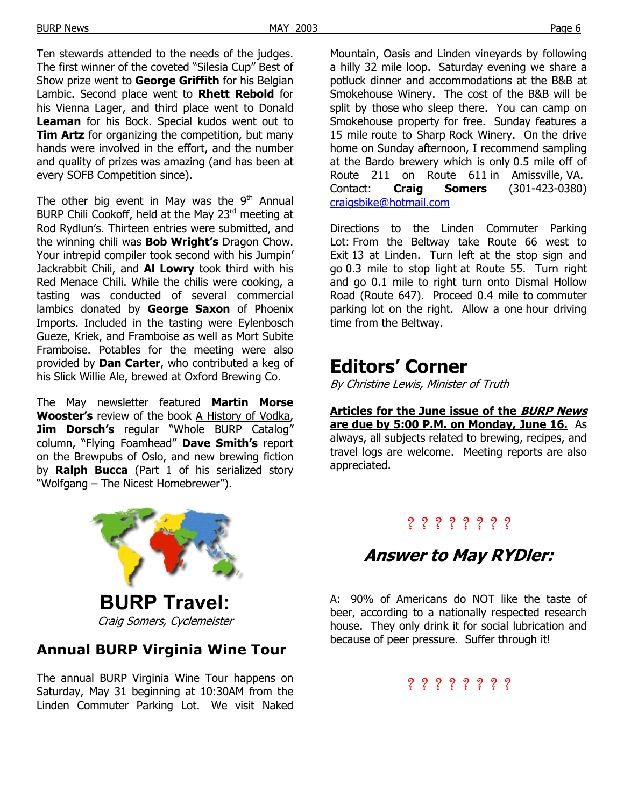Ten stewards attended to the needs of the judges. The first winner of the coveted "Silesia Cup" Best of Show prize went to **George Griffith** for his Belgian Lambic. Second place went to **Rhett Rebold** for his Vienna Lager, and third place went to Donald **Leaman** for his Bock. Special kudos went out to **Tim Artz** for organizing the competition, but many hands were involved in the effort, and the number and quality of prizes was amazing (and has been at every SOFB Competition since).

The other big event in May was the  $9<sup>th</sup>$  Annual BURP Chili Cookoff, held at the May 23<sup>rd</sup> meeting at Rod Rydlun's. Thirteen entries were submitted, and the winning chili was **Bob Wright's** Dragon Chow. Your intrepid compiler took second with his Jumpin' Jackrabbit Chili, and **Al Lowry** took third with his Red Menace Chili. While the chilis were cooking, a tasting was conducted of several commercial lambics donated by **George Saxon** of Phoenix Imports. Included in the tasting were Eylenbosch Gueze, Kriek, and Framboise as well as Mort Subite Framboise. Potables for the meeting were also provided by **Dan Carter**, who contributed a keg of his Slick Willie Ale, brewed at Oxford Brewing Co.

The May newsletter featured **Martin Morse Wooster's** review of the book A History of Vodka, **Jim Dorsch's** regular "Whole BURP Catalog" column, "Flying Foamhead" **Dave Smith's** report on the Brewpubs of Oslo, and new brewing fiction by **Ralph Bucca** (Part 1 of his serialized story "Wolfgang – The Nicest Homebrewer").



Craig Somers, Cyclemeister

## **Annual BURP Virginia Wine Tour**

The annual BURP Virginia Wine Tour happens on Saturday, May 31 beginning at 10:30AM from the Linden Commuter Parking Lot. We visit Naked

Mountain, Oasis and Linden vineyards by following a hilly 32 mile loop. Saturday evening we share a potluck dinner and accommodations at the B&B at Smokehouse Winery. The cost of the B&B will be split by those who sleep there. You can camp on Smokehouse property for free. Sunday features a 15 mile route to Sharp Rock Winery. On the drive home on Sunday afternoon, I recommend sampling at the Bardo brewery which is only 0.5 mile off of Route 211 on Route 611 in Amissville, VA. Contact: **Craig Somers** (301-423-0380) [craigsbike@hotmail.com](mailto:craigsbike@hotmail.com) 

Directions to the Linden Commuter Parking Lot: From the Beltway take Route 66 west to Exit 13 at Linden. Turn left at the stop sign and go 0.3 mile to stop light at Route 55. Turn right and go 0.1 mile to right turn onto Dismal Hollow Road (Route 647). Proceed 0.4 mile to commuter parking lot on the right. Allow a one hour driving time from the Beltway.

# **Editors' Corner**

By Christine Lewis, Minister of Truth

**Articles for the June issue of the BURP News are due by 5:00 P.M. on Monday, June 16.** As always, all subjects related to brewing, recipes, and travel logs are welcome. Meeting reports are also appreciated.

## ? ? ? ? ? ? ? ?

# **Answer to May RYDler:**

A: 90% of Americans do NOT like the taste of beer, according to a nationally respected research house. They only drink it for social lubrication and because of peer pressure. Suffer through it!

## ? ? ? ? ? ? ? ?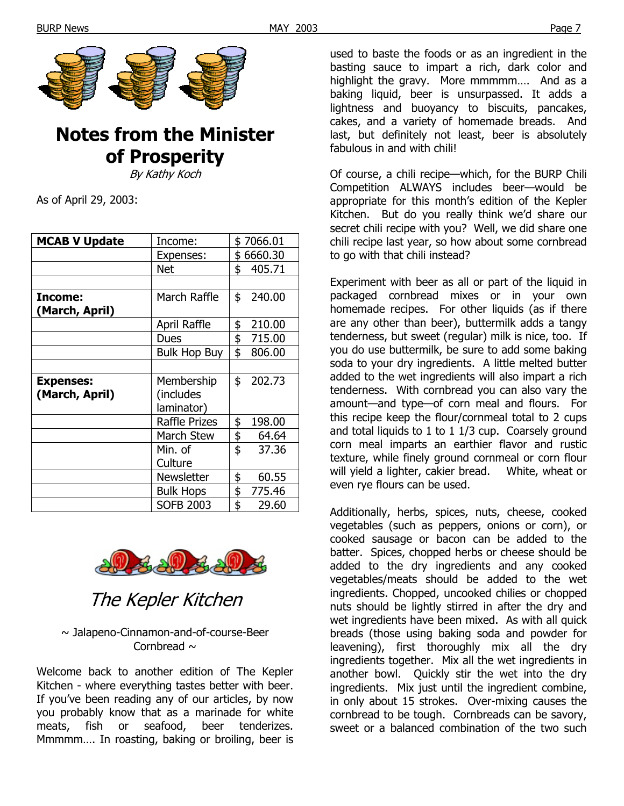

# **Notes from the Minister of Prosperity**

By Kathy Koch

As of April 29, 2003:

| <b>MCAB V Update</b> | Income:              | \$7066.01 |          |
|----------------------|----------------------|-----------|----------|
|                      | Expenses:            | \$6660.30 |          |
|                      | <b>Net</b>           | \$        | 405.71   |
|                      |                      |           |          |
| Income:              | March Raffle         | \$        | 240.00   |
| (March, April)       |                      |           |          |
|                      | April Raffle         | \$        | 210.00   |
|                      | Dues                 |           | \$715.00 |
|                      | <b>Bulk Hop Buy</b>  | \$        | 806.00   |
|                      |                      |           |          |
| <b>Expenses:</b>     | Membership           | \$        | 202.73   |
| (March, April)       | (includes            |           |          |
|                      | laminator)           |           |          |
|                      | <b>Raffle Prizes</b> | \$        | 198.00   |
|                      | <b>March Stew</b>    | \$        | 64.64    |
|                      | Min. of              | \$        | 37.36    |
|                      | Culture              |           |          |
|                      | Newsletter           | \$        | 60.55    |
|                      | <b>Bulk Hops</b>     | \$        | 775.46   |
|                      | <b>SOFB 2003</b>     | \$        | 29.60    |



The Kepler Kitchen

~ Jalapeno-Cinnamon-and-of-course-Beer Cornbread  $\sim$ 

Welcome back to another edition of The Kepler Kitchen - where everything tastes better with beer. If you've been reading any of our articles, by now you probably know that as a marinade for white meats, fish or seafood, beer tenderizes. Mmmmm…. In roasting, baking or broiling, beer is used to baste the foods or as an ingredient in the basting sauce to impart a rich, dark color and highlight the gravy. More mmmmm.... And as a baking liquid, beer is unsurpassed. It adds a lightness and buoyancy to biscuits, pancakes, cakes, and a variety of homemade breads. And last, but definitely not least, beer is absolutely fabulous in and with chili!

Of course, a chili recipe—which, for the BURP Chili Competition ALWAYS includes beer—would be appropriate for this month's edition of the Kepler Kitchen. But do you really think we'd share our secret chili recipe with you? Well, we did share one chili recipe last year, so how about some cornbread to go with that chili instead?

Experiment with beer as all or part of the liquid in packaged cornbread mixes or in your own homemade recipes. For other liquids (as if there are any other than beer), buttermilk adds a tangy tenderness, but sweet (regular) milk is nice, too. If you do use buttermilk, be sure to add some baking soda to your dry ingredients. A little melted butter added to the wet ingredients will also impart a rich tenderness. With cornbread you can also vary the amount—and type—of corn meal and flours. For this recipe keep the flour/cornmeal total to 2 cups and total liquids to 1 to 1 1/3 cup. Coarsely ground corn meal imparts an earthier flavor and rustic texture, while finely ground cornmeal or corn flour will yield a lighter, cakier bread. White, wheat or even rye flours can be used.

Additionally, herbs, spices, nuts, cheese, cooked vegetables (such as peppers, onions or corn), or cooked sausage or bacon can be added to the batter. Spices, chopped herbs or cheese should be added to the dry ingredients and any cooked vegetables/meats should be added to the wet ingredients. Chopped, uncooked chilies or chopped nuts should be lightly stirred in after the dry and wet ingredients have been mixed. As with all quick breads (those using baking soda and powder for leavening), first thoroughly mix all the dry ingredients together. Mix all the wet ingredients in another bowl. Quickly stir the wet into the dry ingredients. Mix just until the ingredient combine, in only about 15 strokes. Over-mixing causes the cornbread to be tough. Cornbreads can be savory, sweet or a balanced combination of the two such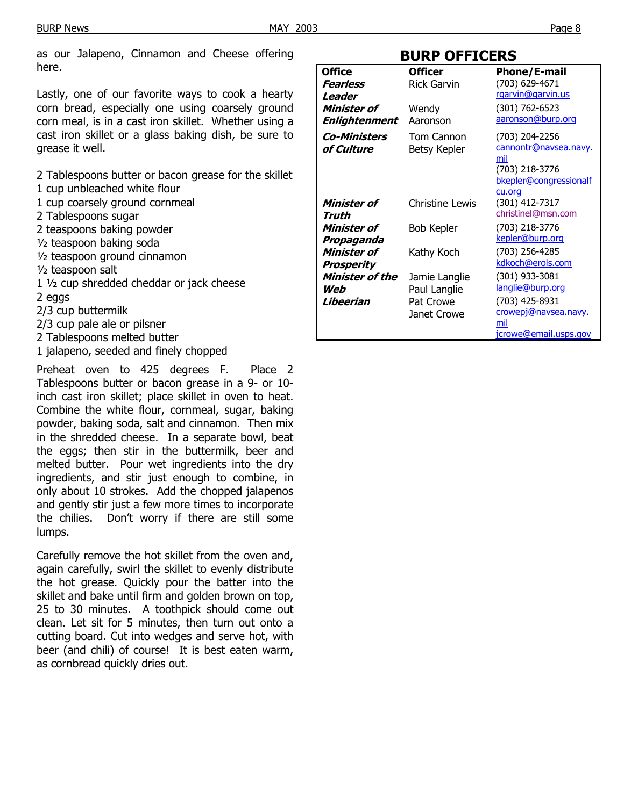as our Jalapeno, Cinnamon and Cheese offering here.

Lastly, one of our favorite ways to cook a hearty corn bread, especially one using coarsely ground corn meal, is in a cast iron skillet. Whether using a cast iron skillet or a glass baking dish, be sure to grease it well.

2 Tablespoons butter or bacon grease for the skillet

- 1 cup unbleached white flour
- 1 cup coarsely ground cornmeal
- 2 Tablespoons sugar
- 2 teaspoons baking powder
- ½ teaspoon baking soda
- ½ teaspoon ground cinnamon
- ½ teaspoon salt
- 1 ½ cup shredded cheddar or jack cheese 2 eggs
- 2/3 cup buttermilk
- 2/3 cup pale ale or pilsner
- 2 Tablespoons melted butter
- 1 jalapeno, seeded and finely chopped

Preheat oven to 425 degrees F. Place 2 Tablespoons butter or bacon grease in a 9- or 10 inch cast iron skillet; place skillet in oven to heat. Combine the white flour, cornmeal, sugar, baking powder, baking soda, salt and cinnamon. Then mix in the shredded cheese. In a separate bowl, beat the eggs; then stir in the buttermilk, beer and melted butter. Pour wet ingredients into the dry ingredients, and stir just enough to combine, in only about 10 strokes. Add the chopped jalapenos and gently stir just a few more times to incorporate the chilies. Don't worry if there are still some lumps.

Carefully remove the hot skillet from the oven and, again carefully, swirl the skillet to evenly distribute the hot grease. Quickly pour the batter into the skillet and bake until firm and golden brown on top, 25 to 30 minutes. A toothpick should come out clean. Let sit for 5 minutes, then turn out onto a cutting board. Cut into wedges and serve hot, with beer (and chili) of course! It is best eaten warm, as cornbread quickly dries out.

#### **BURP OFFICERS**

| <b>Office</b>       | <b>Officer</b>         | <b>Phone/E-mail</b>    |
|---------------------|------------------------|------------------------|
| Fearless            | <b>Rick Garvin</b>     | (703) 629-4671         |
| Leader              |                        | rgarvin@garvin.us      |
| <b>Minister of</b>  | Wendy                  | (301) 762-6523         |
| Enlightenment       | Aaronson               | aaronson@burp.org      |
| <i>Co-Ministers</i> | Tom Cannon             | (703) 204-2256         |
| of Culture          | Betsy Kepler           | cannontr@navsea.navy.  |
|                     |                        | mil                    |
|                     |                        | (703) 218-3776         |
|                     |                        | bkepler@congressionalf |
|                     |                        | cu.org                 |
| Minister of         | <b>Christine Lewis</b> | (301) 412-7317         |
| Truth               |                        | christinel@msn.com     |
| Minister of         | <b>Bob Kepler</b>      | (703) 218-3776         |
| Propaganda          |                        | kepler@burp.org        |
| Minister of         | Kathy Koch             | (703) 256-4285         |
| Prosperity          |                        | kdkoch@erols.com       |
| Minister of the     | Jamie Langlie          | (301) 933-3081         |
| Web                 | Paul Langlie           | langlie@burp.org       |
| Libeerian           | Pat Crowe              | (703) 425-8931         |
|                     | Janet Crowe            | crowepj@navsea.navy.   |
|                     |                        | mil                    |
|                     |                        | jcrowe@email.usps.gov  |